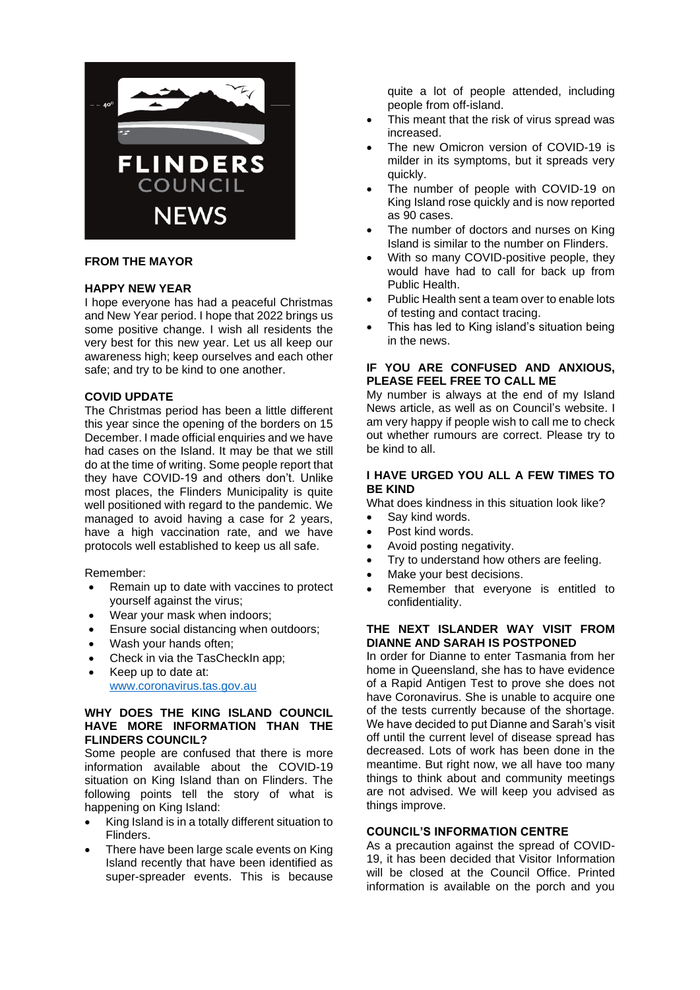

## **FROM THE MAYOR**

## **HAPPY NEW YEAR**

I hope everyone has had a peaceful Christmas and New Year period. I hope that 2022 brings us some positive change. I wish all residents the very best for this new year. Let us all keep our awareness high; keep ourselves and each other safe; and try to be kind to one another.

## **COVID UPDATE**

The Christmas period has been a little different this year since the opening of the borders on 15 December. I made official enquiries and we have had cases on the Island. It may be that we still do at the time of writing. Some people report that they have COVID-19 and others don't. Unlike most places, the Flinders Municipality is quite well positioned with regard to the pandemic. We managed to avoid having a case for 2 years, have a high vaccination rate, and we have protocols well established to keep us all safe.

#### Remember:

- Remain up to date with vaccines to protect yourself against the virus;
- Wear your mask when indoors;
- Ensure social distancing when outdoors;
- Wash your hands often;
- Check in via the TasCheckIn app;
- Keep up to date at: [www.coronavirus.tas.gov.au](http://www.coronavirus.tas.gov.au/)

## **WHY DOES THE KING ISLAND COUNCIL HAVE MORE INFORMATION THAN THE FLINDERS COUNCIL?**

Some people are confused that there is more information available about the COVID-19 situation on King Island than on Flinders. The following points tell the story of what is happening on King Island:

- King Island is in a totally different situation to Flinders.
- There have been large scale events on King Island recently that have been identified as super-spreader events. This is because

quite a lot of people attended, including people from off-island.

- This meant that the risk of virus spread was increased.
- The new Omicron version of COVID-19 is milder in its symptoms, but it spreads very quickly.
- The number of people with COVID-19 on King Island rose quickly and is now reported as 90 cases.
- The number of doctors and nurses on King Island is similar to the number on Flinders.
- With so many COVID-positive people, they would have had to call for back up from Public Health.
- Public Health sent a team over to enable lots of testing and contact tracing.
- This has led to King island's situation being in the news.

## **IF YOU ARE CONFUSED AND ANXIOUS, PLEASE FEEL FREE TO CALL ME**

My number is always at the end of my Island News article, as well as on Council's website. I am very happy if people wish to call me to check out whether rumours are correct. Please try to be kind to all.

### **I HAVE URGED YOU ALL A FEW TIMES TO BE KIND**

What does kindness in this situation look like?

- Say kind words.
- Post kind words.
- Avoid posting negativity.
- Try to understand how others are feeling.
- Make your best decisions.
- Remember that everyone is entitled to confidentiality.

## **THE NEXT ISLANDER WAY VISIT FROM DIANNE AND SARAH IS POSTPONED**

In order for Dianne to enter Tasmania from her home in Queensland, she has to have evidence of a Rapid Antigen Test to prove she does not have Coronavirus. She is unable to acquire one of the tests currently because of the shortage. We have decided to put Dianne and Sarah's visit off until the current level of disease spread has decreased. Lots of work has been done in the meantime. But right now, we all have too many things to think about and community meetings are not advised. We will keep you advised as things improve.

#### **COUNCIL'S INFORMATION CENTRE**

As a precaution against the spread of COVID-19, it has been decided that Visitor Information will be closed at the Council Office. Printed information is available on the porch and you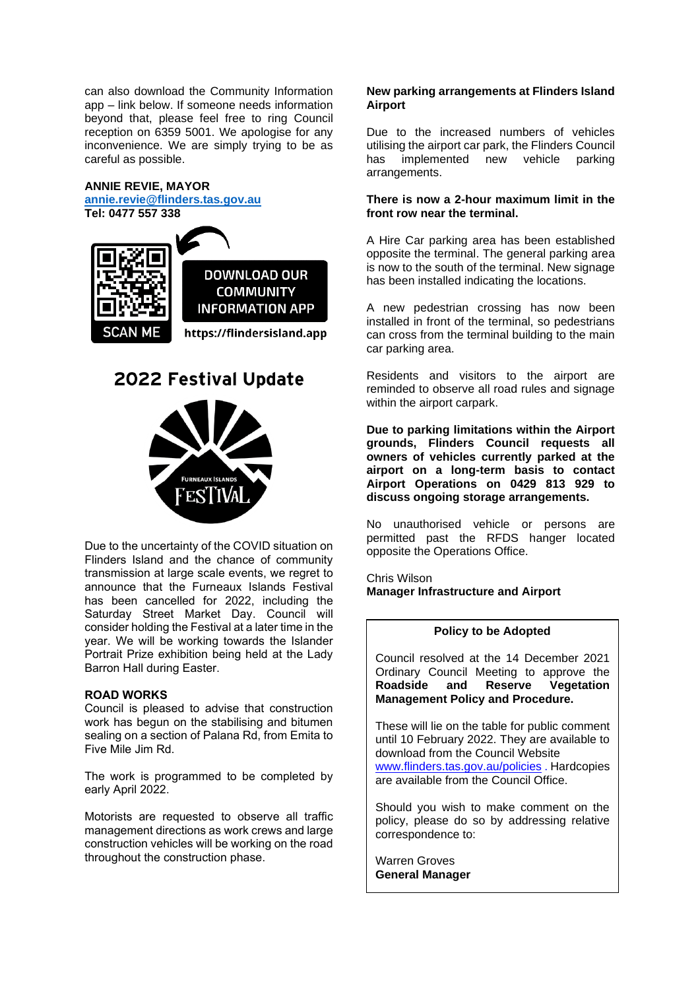can also download the Community Information app – link below. If someone needs information beyond that, please feel free to ring Council reception on 6359 5001. We apologise for any inconvenience. We are simply trying to be as careful as possible.

## **ANNIE REVIE, MAYOR**

**[annie.revie@flinders.tas.gov.au](mailto:annie.revie@flinders.tas.gov.au)**

**Tel: 0477 557 338 DOWNLOAD OUR COMMUNITY INFORMATION APP** https://flindersisland.app

# **2022 Festival Update**



Due to the uncertainty of the COVID situation on Flinders Island and the chance of community transmission at large scale events, we regret to announce that the Furneaux Islands Festival has been cancelled for 2022, including the Saturday Street Market Day. Council will consider holding the Festival at a later time in the year. We will be working towards the Islander Portrait Prize exhibition being held at the Lady Barron Hall during Easter.

### **ROAD WORKS**

Council is pleased to advise that construction work has begun on the stabilising and bitumen sealing on a section of Palana Rd, from Emita to Five Mile Jim Rd.

The work is programmed to be completed by early April 2022.

Motorists are requested to observe all traffic management directions as work crews and large construction vehicles will be working on the road throughout the construction phase.

#### **New parking arrangements at Flinders Island Airport**

Due to the increased numbers of vehicles utilising the airport car park, the Flinders Council has implemented new vehicle parking arrangements.

## **There is now a 2-hour maximum limit in the front row near the terminal.**

A Hire Car parking area has been established opposite the terminal. The general parking area is now to the south of the terminal. New signage has been installed indicating the locations.

A new pedestrian crossing has now been installed in front of the terminal, so pedestrians can cross from the terminal building to the main car parking area.

Residents and visitors to the airport are reminded to observe all road rules and signage within the airport carpark.

**Due to parking limitations within the Airport grounds, Flinders Council requests all owners of vehicles currently parked at the airport on a long-term basis to contact Airport Operations on 0429 813 929 to discuss ongoing storage arrangements.**

No unauthorised vehicle or persons are permitted past the RFDS hanger located opposite the Operations Office.

Chris Wilson **Manager Infrastructure and Airport**

#### **Policy to be Adopted**

Council resolved at the 14 December 2021 Ordinary Council Meeting to approve the **Roadside and Reserve Vegetation Management Policy and Procedure.** 

These will lie on the table for public comment until 10 February 2022. They are available to download from the Council Website [www.flinders.tas.gov.au/policies](http://www.flinders.tas.gov.au/policies) . Hardcopies are available from the Council Office.

Should you wish to make comment on the policy, please do so by addressing relative correspondence to:

Warren Groves **General Manager**